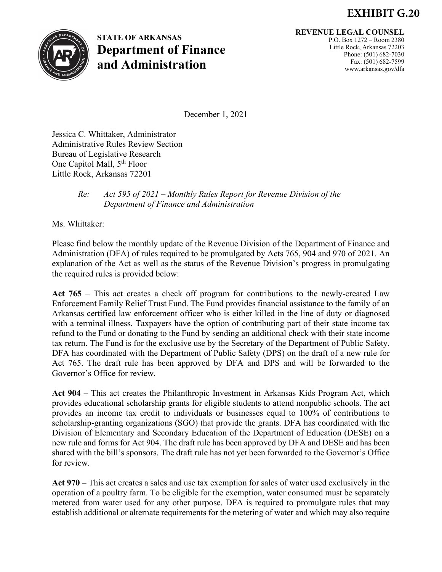## **EXHIBIT G.20**



**STATE OF ARKANSAS Department of Finance and Administration**

**REVENUE LEGAL COUNSEL**

P.O. Box 1272 – Room 2380 Little Rock, Arkansas 72203 Phone: (501) 682-7030 Fax: (501) 682-7599 www.arkansas.gov/dfa

December 1, 2021

Jessica C. Whittaker, Administrator Administrative Rules Review Section Bureau of Legislative Research One Capitol Mall, 5<sup>th</sup> Floor Little Rock, Arkansas 72201

## *Re: Act 595 of 2021 – Monthly Rules Report for Revenue Division of the Department of Finance and Administration*

Ms. Whittaker:

Please find below the monthly update of the Revenue Division of the Department of Finance and Administration (DFA) of rules required to be promulgated by Acts 765, 904 and 970 of 2021. An explanation of the Act as well as the status of the Revenue Division's progress in promulgating the required rules is provided below:

**Act 765** – This act creates a check off program for contributions to the newly-created Law Enforcement Family Relief Trust Fund. The Fund provides financial assistance to the family of an Arkansas certified law enforcement officer who is either killed in the line of duty or diagnosed with a terminal illness. Taxpayers have the option of contributing part of their state income tax refund to the Fund or donating to the Fund by sending an additional check with their state income tax return. The Fund is for the exclusive use by the Secretary of the Department of Public Safety. DFA has coordinated with the Department of Public Safety (DPS) on the draft of a new rule for Act 765. The draft rule has been approved by DFA and DPS and will be forwarded to the Governor's Office for review.

**Act 904** – This act creates the Philanthropic Investment in Arkansas Kids Program Act, which provides educational scholarship grants for eligible students to attend nonpublic schools. The act provides an income tax credit to individuals or businesses equal to 100% of contributions to scholarship-granting organizations (SGO) that provide the grants. DFA has coordinated with the Division of Elementary and Secondary Education of the Department of Education (DESE) on a new rule and forms for Act 904. The draft rule has been approved by DFA and DESE and has been shared with the bill's sponsors. The draft rule has not yet been forwarded to the Governor's Office for review.

**Act 970** – This act creates a sales and use tax exemption for sales of water used exclusively in the operation of a poultry farm. To be eligible for the exemption, water consumed must be separately metered from water used for any other purpose. DFA is required to promulgate rules that may establish additional or alternate requirements for the metering of water and which may also require